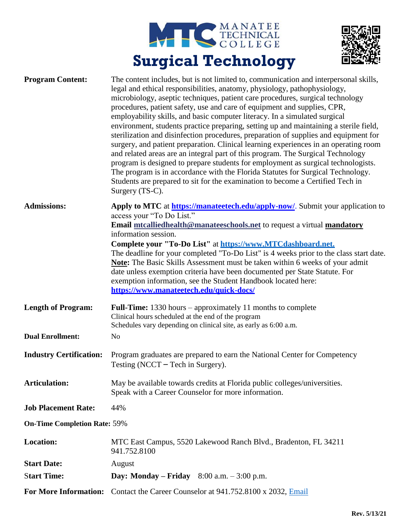



| <b>Program Content:</b>             | The content includes, but is not limited to, communication and interpersonal skills,<br>legal and ethical responsibilities, anatomy, physiology, pathophysiology,<br>microbiology, aseptic techniques, patient care procedures, surgical technology<br>procedures, patient safety, use and care of equipment and supplies, CPR,<br>employability skills, and basic computer literacy. In a simulated surgical<br>environment, students practice preparing, setting up and maintaining a sterile field,<br>sterilization and disinfection procedures, preparation of supplies and equipment for<br>surgery, and patient preparation. Clinical learning experiences in an operating room<br>and related areas are an integral part of this program. The Surgical Technology<br>program is designed to prepare students for employment as surgical technologists.<br>The program is in accordance with the Florida Statutes for Surgical Technology.<br>Students are prepared to sit for the examination to become a Certified Tech in<br>Surgery (TS-C). |
|-------------------------------------|--------------------------------------------------------------------------------------------------------------------------------------------------------------------------------------------------------------------------------------------------------------------------------------------------------------------------------------------------------------------------------------------------------------------------------------------------------------------------------------------------------------------------------------------------------------------------------------------------------------------------------------------------------------------------------------------------------------------------------------------------------------------------------------------------------------------------------------------------------------------------------------------------------------------------------------------------------------------------------------------------------------------------------------------------------|
| <b>Admissions:</b>                  | Apply to MTC at <b>https://manateetech.edu/apply-now/</b> . Submit your application to<br>access your "To Do List."<br>Email mtcalliedhealth@manateeschools.net to request a virtual mandatory<br>information session.<br>Complete your "To-Do List" at https://www.MTCdashboard.net.<br>The deadline for your completed "To-Do List" is 4 weeks prior to the class start date.<br>Note: The Basic Skills Assessment must be taken within 6 weeks of your admit<br>date unless exemption criteria have been documented per State Statute. For<br>exemption information, see the Student Handbook located here:<br>https://www.manateetech.edu/quick-docs/                                                                                                                                                                                                                                                                                                                                                                                              |
| <b>Length of Program:</b>           | <b>Full-Time:</b> 1330 hours – approximately 11 months to complete<br>Clinical hours scheduled at the end of the program<br>Schedules vary depending on clinical site, as early as 6:00 a.m.                                                                                                                                                                                                                                                                                                                                                                                                                                                                                                                                                                                                                                                                                                                                                                                                                                                           |
| <b>Dual Enrollment:</b>             | N <sub>o</sub>                                                                                                                                                                                                                                                                                                                                                                                                                                                                                                                                                                                                                                                                                                                                                                                                                                                                                                                                                                                                                                         |
| <b>Industry Certification:</b>      | Program graduates are prepared to earn the National Center for Competency<br>Testing (NCCT $-$ Tech in Surgery).                                                                                                                                                                                                                                                                                                                                                                                                                                                                                                                                                                                                                                                                                                                                                                                                                                                                                                                                       |
| <b>Articulation:</b>                | May be available towards credits at Florida public colleges/universities.<br>Speak with a Career Counselor for more information.                                                                                                                                                                                                                                                                                                                                                                                                                                                                                                                                                                                                                                                                                                                                                                                                                                                                                                                       |
| <b>Job Placement Rate:</b>          | 44%                                                                                                                                                                                                                                                                                                                                                                                                                                                                                                                                                                                                                                                                                                                                                                                                                                                                                                                                                                                                                                                    |
| <b>On-Time Completion Rate: 59%</b> |                                                                                                                                                                                                                                                                                                                                                                                                                                                                                                                                                                                                                                                                                                                                                                                                                                                                                                                                                                                                                                                        |
| <b>Location:</b>                    | MTC East Campus, 5520 Lakewood Ranch Blvd., Bradenton, FL 34211<br>941.752.8100                                                                                                                                                                                                                                                                                                                                                                                                                                                                                                                                                                                                                                                                                                                                                                                                                                                                                                                                                                        |
| <b>Start Date:</b>                  | August                                                                                                                                                                                                                                                                                                                                                                                                                                                                                                                                                                                                                                                                                                                                                                                                                                                                                                                                                                                                                                                 |
| <b>Start Time:</b>                  | <b>Day: Monday – Friday</b> 8:00 a.m. $-3:00$ p.m.                                                                                                                                                                                                                                                                                                                                                                                                                                                                                                                                                                                                                                                                                                                                                                                                                                                                                                                                                                                                     |
|                                     | For More Information: Contact the Career Counselor at 941.752.8100 x 2032, Email                                                                                                                                                                                                                                                                                                                                                                                                                                                                                                                                                                                                                                                                                                                                                                                                                                                                                                                                                                       |